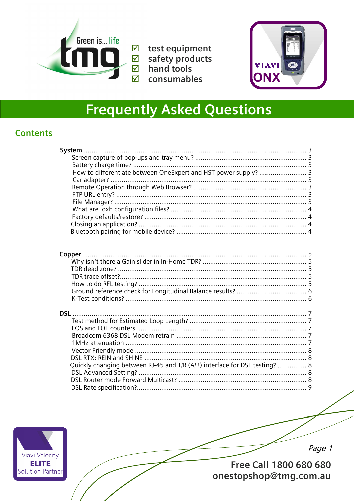

 $\overline{\boxtimes}$  test equipment  $\boxtimes$  safety products  $\boxtimes$  hand tools consumables



# **Frequently Asked Questions**

## **Contents**

| How to differentiate between OneExpert and HST power supply?  3            |  |
|----------------------------------------------------------------------------|--|
|                                                                            |  |
|                                                                            |  |
|                                                                            |  |
|                                                                            |  |
|                                                                            |  |
|                                                                            |  |
|                                                                            |  |
|                                                                            |  |
|                                                                            |  |
|                                                                            |  |
|                                                                            |  |
|                                                                            |  |
|                                                                            |  |
|                                                                            |  |
|                                                                            |  |
|                                                                            |  |
|                                                                            |  |
|                                                                            |  |
| <b>DSL</b>                                                                 |  |
|                                                                            |  |
|                                                                            |  |
|                                                                            |  |
|                                                                            |  |
|                                                                            |  |
|                                                                            |  |
| Quickly changing between RJ-45 and T/R (A/B) interface for DSL testing?  8 |  |
|                                                                            |  |
|                                                                            |  |
|                                                                            |  |



Page 1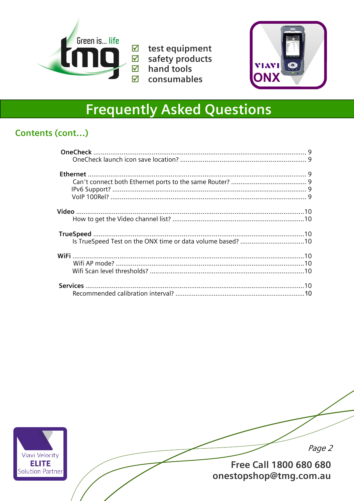

 $\overline{\boxtimes}$  test equipment  $\boxtimes$  safety products  $\boxtimes$  hand tools consumables



# **Frequently Asked Questions**

## Contents (cont...)

| Is TrueSpeed Test on the ONX time or data volume based? 10 |  |
|------------------------------------------------------------|--|
|                                                            |  |
|                                                            |  |
|                                                            |  |
|                                                            |  |
|                                                            |  |
|                                                            |  |
|                                                            |  |
|                                                            |  |



Page 2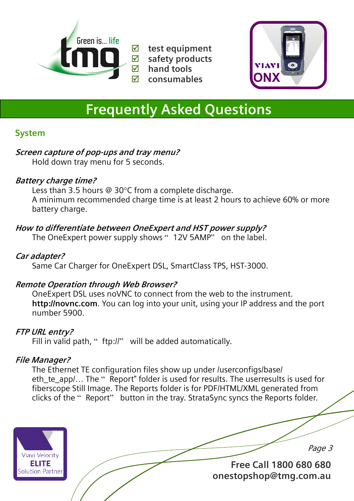



# **Frequently Asked Questions**

## **System**

#### **Screen capture of pop-ups and tray menu?**

Hold down tray menu for 5 seconds.

#### **Battery charge time?**

 Less than 3.5 hours @ 30°C from a complete discharge. A minimum recommended charge time is at least 2 hours to achieve 60% or more battery charge.

## **How to differentiate between OneExpert and HST power supply?**

The OneExpert power supply shows "12V 5AMP" on the label.

### **Car adapter?**

Same Car Charger for OneExpert DSL, SmartClass TPS, HST-3000.

#### **Remote Operation through Web Browser?**

 OneExpert DSL uses noVNC to connect from the web to the instrument. **http://novnc.com**. You can log into your unit, using your IP address and the port number 5900.

## **FTP URL entry?**

Fill in valid path, " ftp://" will be added automatically.

## **File Manager?**

 The Ethernet TE configuration files show up under /userconfigs/base/ eth te app/... The " Report" folder is used for results. The userresults is used for fiberscope Still Image. The Reports folder is for PDF/HTML/XML generated from clicks of the " Report" button in the tray. StrataSync syncs the Reports folder.

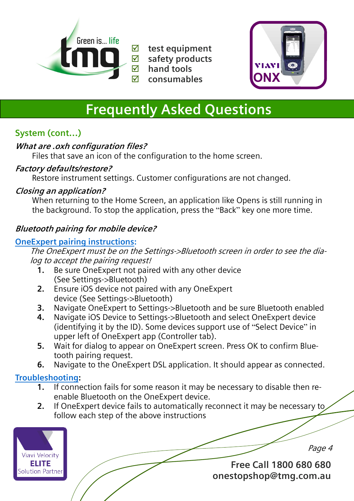



# **Frequently Asked Questions**

## **System (cont…)**

### **What are .oxh configuration files?**

Files that save an icon of the configuration to the home screen.

#### **Factory defaults/restore?**

Restore instrument settings. Customer configurations are not changed.

#### **Closing an application?**

 When returning to the Home Screen, an application like Opens is still running in the background. To stop the application, press the "Back" key one more time.

## **Bluetooth pairing for mobile device?**

### **OneExpert pairing instructions:**

The OneExpert must be on the Settings->Bluetooth screen in order to see the dialog to accept the pairing request!

- **1.** Be sure OneExpert not paired with any other device (See Settings->Bluetooth)
- **2.** Ensure iOS device not paired with any OneExpert device (See Settings->Bluetooth)
- **3.** Navigate OneExpert to Settings->Bluetooth and be sure Bluetooth enabled
- **4.** Navigate iOS Device to Settings->Bluetooth and select OneExpert device (identifying it by the ID). Some devices support use of "Select Device" in upper left of OneExpert app (Controller tab).
- **5.** Wait for dialog to appear on OneExpert screen. Press OK to confirm Bluetooth pairing request.
- **6.** Navigate to the OneExpert DSL application. It should appear as connected.

## **Troubleshooting:**

- **1.** If connection fails for some reason it may be necessary to disable then reenable Bluetooth on the OneExpert device.
- **2.** If OneExpert device fails to automatically reconnect it may be necessary to follow each step of the above instructions



Page 4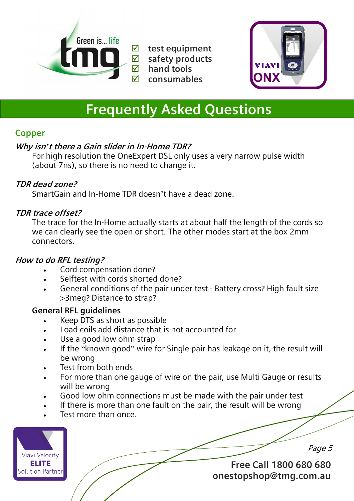



# **Frequently Asked Questions**

## **Copper**

### **Why isn***'***t there a Gain slider in In-Home TDR?**

 For high resolution the OneExpert DSL only uses a very narrow pulse width (about 7ns), so there is no need to change it.

### **TDR dead zone?**

SmartGain and In-Home TDR doesn't have a dead zone.

#### **TDR trace offset?**

 The trace for the In-Home actually starts at about half the length of the cords so we can clearly see the open or short. The other modes start at the box 2mm connectors.

#### **How to do RFL testing?**

- Cord compensation done?
- Selftest with cords shorted done?
- General conditions of the pair under test Battery cross? High fault size >3meg? Distance to strap?

#### **General RFL guidelines**

- Keep DTS as short as possible
- Load coils add distance that is not accounted for
- Use a good low ohm strap
- If the "known good" wire for Single pair has leakage on it, the result will be wrong
- Test from both ends
- For more than one gauge of wire on the pair, use Multi Gauge or results will be wrong
- Good low ohm connections must be made with the pair under test
- If there is more than one fault on the pair, the result will be wrong
- Test more than once.



Page 5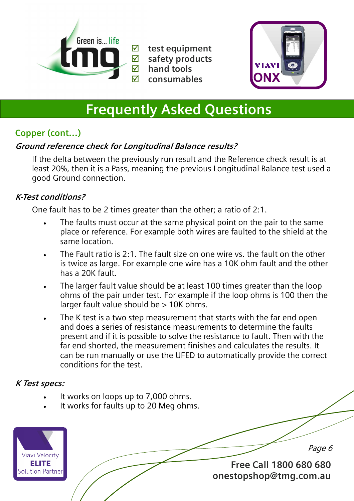



# **Frequently Asked Questions**

## **Copper (cont…)**

## **Ground reference check for Longitudinal Balance results?**

 If the delta between the previously run result and the Reference check result is at least 20%, then it is a Pass, meaning the previous Longitudinal Balance test used a good Ground connection.

#### **K-Test conditions?**

One fault has to be 2 times greater than the other; a ratio of 2:1.

- The faults must occur at the same physical point on the pair to the same place or reference. For example both wires are faulted to the shield at the same location.
- The Fault ratio is 2:1. The fault size on one wire vs. the fault on the other is twice as large. For example one wire has a 10K ohm fault and the other has a 20K fault.
- The larger fault value should be at least 100 times greater than the loop ohms of the pair under test. For example if the loop ohms is 100 then the larger fault value should be > 10K ohms.
- The K test is a two step measurement that starts with the far end open and does a series of resistance measurements to determine the faults present and if it is possible to solve the resistance to fault. Then with the far end shorted, the measurement finishes and calculates the results. It can be run manually or use the UFED to automatically provide the correct conditions for the test.

#### **K Test specs:**

- It works on loops up to 7,000 ohms.
- It works for faults up to 20 Meg ohms.



Page 6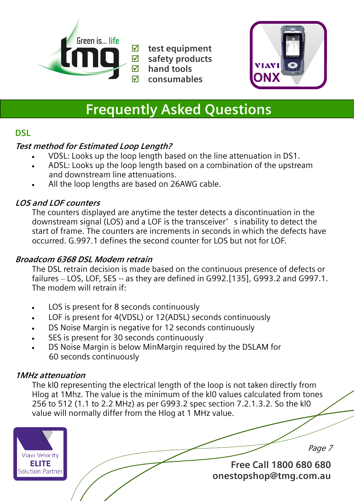

**<u>Ø</u>** test equipment<br>**Ø** safety products **safety products hand tools consumables** 



# **Frequently Asked Questions**

### **DSL**

#### **Test method for Estimated Loop Length?**

- VDSL: Looks up the loop length based on the line attenuation in DS1.
- ADSL: Looks up the loop length based on a combination of the upstream and downstream line attenuations.
- All the loop lengths are based on 26AWG cable.

### **LOS and LOF counters**

 The counters displayed are anytime the tester detects a discontinuation in the downstream signal (LOS) and a LOF is the transceiver' s inability to detect the start of frame. The counters are increments in seconds in which the defects have occurred. G.997.1 defines the second counter for LOS but not for LOF.

#### **Broadcom 6368 DSL Modem retrain**

 The DSL retrain decision is made based on the continuous presence of defects or failures – LOS, LOF, SES -- as they are defined in G992.[135], G993.2 and G997.1. The modem will retrain if:

- LOS is present for 8 seconds continuously
- LOF is present for 4(VDSL) or 12(ADSL) seconds continuously
- DS Noise Margin is negative for 12 seconds continuously
- SES is present for 30 seconds continuously
- DS Noise Margin is below MinMargin required by the DSLAM for 60 seconds continuously

#### **1MHz attenuation**

 The kl0 representing the electrical length of the loop is not taken directly from Hlog at 1Mhz. The value is the minimum of the kl0 values calculated from tones 256 to 512 (1.1 to 2.2 MHz) as per G993.2 spec section 7.2.1.3.2. So the kl0 value will normally differ from the Hlog at 1 MHz value.



Page 7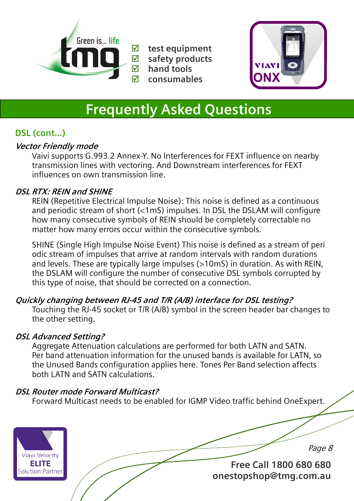

**<u>Ø</u>** test equipment<br>**Ø** safety products **safety products hand tools consumables** 



# **Frequently Asked Questions**

## **DSL (cont...)**

#### **Vector Friendly mode**

 Vaivi supports G.993.2 Annex-Y. No Interferences for FEXT influence on nearby transmission lines with vectoring. And Downstream interferences for FEXT influences on own transmission line.

#### **DSL RTX: REIN and SHINE**

 REIN (Repetitive Electrical Impulse Noise): This noise is defined as a continuous and periodic stream of short (<1mS) impulses. In DSL the DSLAM will configure how many consecutive symbols of REIN should be completely correctable no matter how many errors occur within the consecutive symbols.

 SHINE (Single High Impulse Noise Event) This noise is defined as a stream of peri odic stream of impulses that arrive at random intervals with random durations and levels. These are typically large impulses (>10mS) in duration. As with REIN, the DSLAM will configure the number of consecutive DSL symbols corrupted by this type of noise, that should be corrected on a connection.

## **Quickly changing between RJ-45 and T/R (A/B) interface for DSL testing?**

 Touching the RJ-45 socket or T/R (A/B) symbol in the screen header bar changes to the other setting.

#### **DSL Advanced Setting?**

 Aggregate Attenuation calculations are performed for both LATN and SATN. Per band attenuation information for the unused bands is available for LATN, so the Unused Bands configuration applies here. Tones Per Band selection affects both LATN and SATN calculations.

#### **DSL Router mode Forward Multicast?**

Forward Multicast needs to be enabled for IGMP Video traffic behind OneExpert.

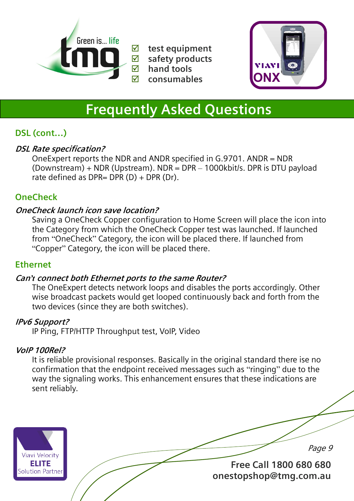



## **Frequently Asked Questions**

## **DSL (cont…)**

#### **DSL Rate specification?**

 OneExpert reports the NDR and ANDR specified in G.9701. ANDR = NDR (Downstream) + NDR (Upstream). NDR = DPR – 1000kbit/s. DPR is DTU payload rate defined as DPR= DPR  $(D)$  + DPR  $(Dr)$ .

### **OneCheck**

#### **OneCheck launch icon save location?**

 Saving a OneCheck Copper configuration to Home Screen will place the icon into the Category from which the OneCheck Copper test was launched. If launched from "OneCheck" Category, the icon will be placed there. If launched from "Copper" Category, the icon will be placed there.

#### **Ethernet**

#### **Can***'t* **connect both Ethernet ports to the same Router?**

 The OneExpert detects network loops and disables the ports accordingly. Other wise broadcast packets would get looped continuously back and forth from the two devices (since they are both switches).

#### **IPv6 Support?**

IP Ping, FTP/HTTP Throughput test, VoIP, Video

#### **VoIP 100Rel?**

 It is reliable provisional responses. Basically in the original standard there ise no confirmation that the endpoint received messages such as "ringing" due to the way the signaling works. This enhancement ensures that these indications are sent reliably.